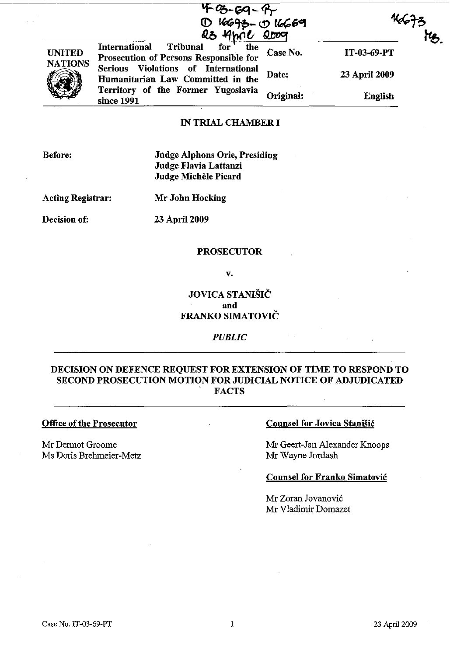|                                 | 4-03-69-9<br>10 16693-0 16669<br>Q3 4hrie Qoog                                           |           | y,            |
|---------------------------------|------------------------------------------------------------------------------------------|-----------|---------------|
| <b>UNITED</b><br><b>NATIONS</b> | for<br>Tribunal<br>the<br><b>International</b><br>Prosecution of Persons Responsible for | Case No.  | IT-03-69-PT   |
|                                 | Serious Violations of International<br>Humanitarian Law Committed in the                 | Date:     | 23 April 2009 |
|                                 | Territory of the Former Yugoslavia<br>since 1991                                         | Original: | English       |

# IN TRIAL CHAMBER I

Before:

Judge Alphons Orie, Presiding Judge Flavia Lattanzi Judge Michèle Picard

Acting Registrar: Mr John Hocking

Decision of: 23 April 2009

#### PROSECUTOR

v.

JOVICA STANISIC and FRANKO SIMATOVIČ

*PUBLIC* 

# DECISION ON DEFENCE REQUEST FOR EXTENSION OF TIME TO RESPOND TO SECOND PROSECUTION MOTION FOR JUDICIAL NOTICE OF ADJUDICATED **FACTS**

Office of the Prosecutor

Mr Dermot Groome Ms Doris Brehmeier-Metz

#### Counsel for Jovica Stanišić

Mr Geert-Jan Alexander Knoops Mr Wayne Jordash

#### Counsel for Franko Simatovic

Mr Zoran Jovanovic Mr Vladimir Domazet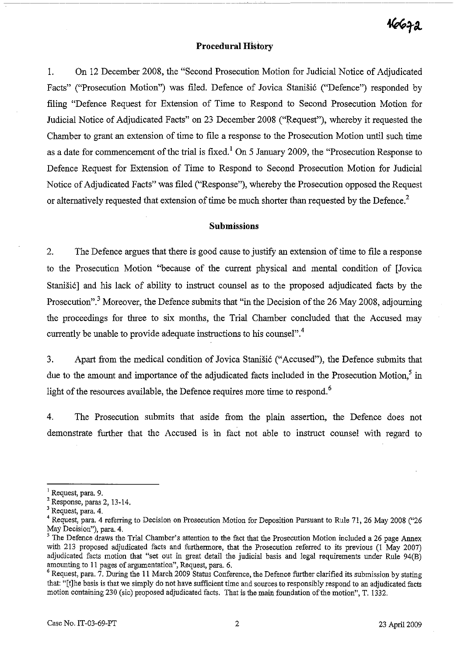# 16672

### **Procedural History**

1. On 12 December 2008, the "Second Prosecution Motion for Judicial Notice of Adjudicated Facts" ("Prosecution Motion") was filed. Defence of Jovica Stanišić ("Defence") responded by filing "Defence Request for Extension of Time to Respond to Second Prosecution Motion for Judicial Notice of Adjudicated Facts" on 23 December 2008 ("Request"), whereby it requested the Chamber to grant an extension of time to file a response to the Prosecution Motion until such time as a date for commencement of the trial is fixed.<sup>1</sup> On 5 January 2009, the "Prosecution Response to Defence Request for Extension of Time to Respond to Second Prosecution Motion for Judicial Notice of Adjudicated Facts" was filed ("Response"), whereby the Prosecution opposed the Request or alternatively requested that extension of time be much shorter than requested by the Defence.<sup>2</sup>

## **Submissions**

2. The Defence argues that there is good cause to justify an extension of time to file a response to the Prosecution Motion "because of the current physical and mental condition of [Jovica Stanisi6] and his lack of ability to instruct counsel as to the proposed adjudicated facts by the Prosecution".<sup>3</sup> Moreover, the Defence submits that "in the Decision of the 26 May 2008, adjourning the proceedings for three to six months, the Trial Chamber concluded that the Accused may currently be unable to provide adequate instructions to his counsel".<sup>4</sup>

3. Apart from the medical condition of Jovica Stanišić ("Accused"), the Defence submits that due to the amount and importance of the adjudicated facts included in the Prosecution Motion, $<sup>5</sup>$  in</sup> light of the resources available, the Defence requires more time to respond.<sup>6</sup>

4. The Prosecution submits that aside from the plain assertion, the Defence does not demonstrate further that the Accused is in fact not able to instruct counsel with regard to

 $<sup>1</sup>$  Request, para. 9.</sup>

<sup>2</sup> Response, paras 2, 13-14.

<sup>&</sup>lt;sup>3</sup> Request, para. 4.

<sup>&</sup>lt;sup>4</sup> Request, para. 4 referring to Decision on Prosecution Motion for Deposition Pursuant to Rule 71, 26 May 2008 ("26 May Decision"), para. 4.

 $<sup>5</sup>$  The Defence draws the Trial Chamber's attention to the fact that the Prosecution Motion included a 26 page Annex</sup> with 213 proposed adjudicated facts and furthermore, that the Prosecution referred to its previous (1 May 2007) adjudicated facts motion that "set out in great detail the judicial basis and legal requirements under Rule 94(B) amounting to 11 pages of argumentation", Request, para. 6.

 $6$  Request, para.  $7.$  During the 11 March 2009 Status Conference, the Defence further clarified its submission by stating that: "[t]he basis is that we simply do not have sufficient time and sources to responsibly respond to an adjudicated facts motion containing 230 (sic) proposed adjudicated facts. That is the main foundation of the motion", T. 1332.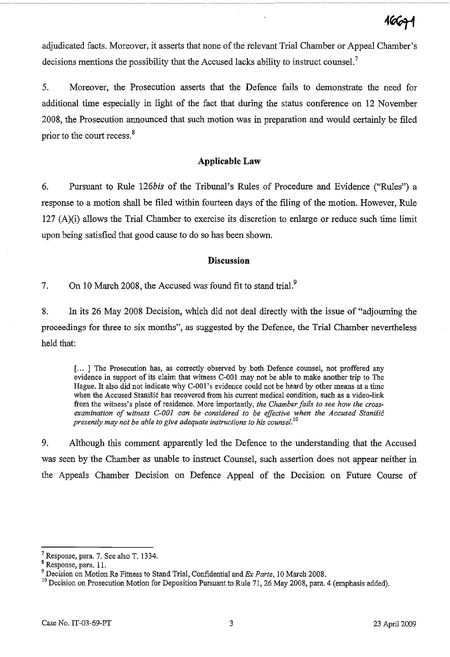16671

adjudicated facts. Moreover, it asserts that none of the relevant Trial Chamber or Appeal Chamber's decisions mentions the possibility that the Accused lacks ability to instruct counsel.<sup>7</sup>

5. Moreover, the Prosecution asserts that the Defence fails to demonstrate the need for additional time especially in light of the fact that during the status conference on 12 November 2008, the Prosecution announced that such motion was in preparation and would certainly be filed prior to the court recess.<sup>8</sup>

## **Applicable Law**

6. Pursuant to Rule *126bis* of the Tribunal's Rules of Procedure and Evidence ("Rilles") a response to a motion shall be filed within fourteen days of the filing of the motion. However, Rule 127 (A)(i) allows the Trial Chamber to exercise its discretion to enlarge or reduce such time limit upon being satisfied that good cause to do so has been shown.

#### **Discussion**

7. On 10 March 2008, the Accused was found fit to stand trial.<sup>9</sup>

8. In its 26 May 2008 Decision, which did not deal directly with the issue of "adjourning the proceedings for three to six months", as suggested by the Defence, the Trial Chamber nevertheless held that:

[ ... 1 The Prosecution has, as correctly observed by both Defence counsel, not proffered any evidence in support of its claim that witness C-001 may not be able to make another trip to The Hague. It also did not indicate why C-001's evidence could not be heard by other means at a time when the Accused Stanišić has recovered from his current medical condition, such as a video-link from the witness's place of residence. More importantly, *the Chamber fails to see how the crossexamination of witness C-OOI can be considered to be effective when the Accused Stanisic presently may not be able to give adequate instructions to his counsel.*<sup>10</sup>

9. Although *this* comment apparently led the Defence to the understanding that the Accused was seen by the Chamber as unable to instruct Counsel, such assertion does not appear neither in the Appeals Chamber Decision on Defence Appeal of the Decision on Future Course of

<sup>7</sup> Response, para. 7. See also T. 1334.

<sup>8</sup> Response, para. II.

<sup>9</sup> Decision on *Motion* Re Fitness to Stand Trial, Confidential and Ex *Parte,* 10 March 2008.

<sup>&</sup>lt;sup>10</sup> Decision on Prosecution Motion for Deposition Pursuant to Rule 71, 26 May 2008, para. 4 (emphasis added).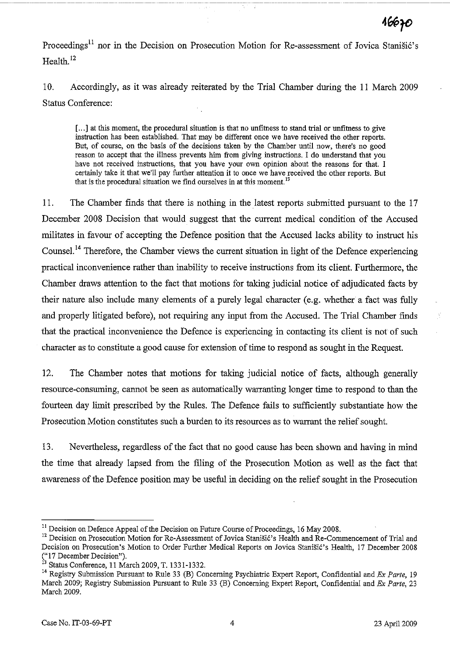Proceedings<sup>11</sup> nor in the Decision on Prosecution Motion for Re-assessment of Jovica Stanišić's Health.<sup>12</sup>

10. Accordingly, as it was already reiterated by the Trial Chamber during the 11 March 2009 Status Conference:

[...] at this moment, the procedural situation is that no unfitness to stand trial or unfitness to give instruction has been established. That may be different once we have received the other reports. But, of course, on the basis of the decisions taken by the Chamber until now, there's no good reason to accept that the illness prevents him from giving instructions. I do understand that you have not received instructions, that you have your own opinion about the reasons for that. I certainly take it that we'll pay further attention it to once we have received the other reports. But that is the procedural situation we find ourselves in at this moment.<sup>13</sup>

11. The Chamber finds that there is nothing in the latest reports submitted pursuant to the 17 December 2008 Decision that would suggest that the current medical condition of the Accused militates in favour of accepting the Defence position that the Accused lacks ability to instruct his Counsel.<sup>14</sup> Therefore, the Chamber views the current situation in light of the Defence experiencing practical inconvenience rather than inability to receive instructions from its client. Furthermore, the Chamber draws attention to the fact that motions for taking judicial notice of adjudicated facts by their nature also include many elements of a purely legal character (e.g. whether a fact was fully and properly litigated before), not requiring any input from the Accused. The Trial Chamber finds that the practical inconvenience the Defence is experiencing in contacting its client is not of such character as to constitute a good cause for extension of time to respond as sought in the Request.

12. The Chamber notes that motions for taking judicial notice of facts, although generally resource-consuming, cannot be seen as automatically warranting longer time to respond to than the fourteen day limit prescribed by the Rules. The Defence fails to sufficiently substantiate how the Prosecution Motion constitutes such a burden to its resources as to warrant the relief sought.

13. Nevertheless, regardless of the fact that no good cause has been shown and having in mind the time that already lapsed from the filing of the Prosecution Motion as well as the fact that awareness of the Defence position may be useful in deciding on the relief sought in the Prosecution

 $<sup>11</sup>$  Decision on Defence Appeal of the Decision on Future Course of Proceedings, 16 May 2008.</sup>

<sup>&</sup>lt;sup>12</sup> Decision on Prosecution Motion for Re-Assessment of Jovica Stanišić's Health and Re-Commencement of Trial and Decision on Prosecution's Motion to Order Further Medical Reports on Jovica Stanišić's Health, 17 December 2008 ("17 December Decision").

<sup>&</sup>quot; Status Conference, 11 March 2009, T. 1331-1332.

<sup>&</sup>lt;sup>14</sup> Registry Submission Pursuant to Rule 33 (B) Concerning Psychiatric Expert Report, Confidential and *Ex Parte*, 19 March 2009; Registry Submission Pursuant to Rule 33 (B) Concerning Expert Report, Confidential and *Ex Parte, 23*  March 2009.